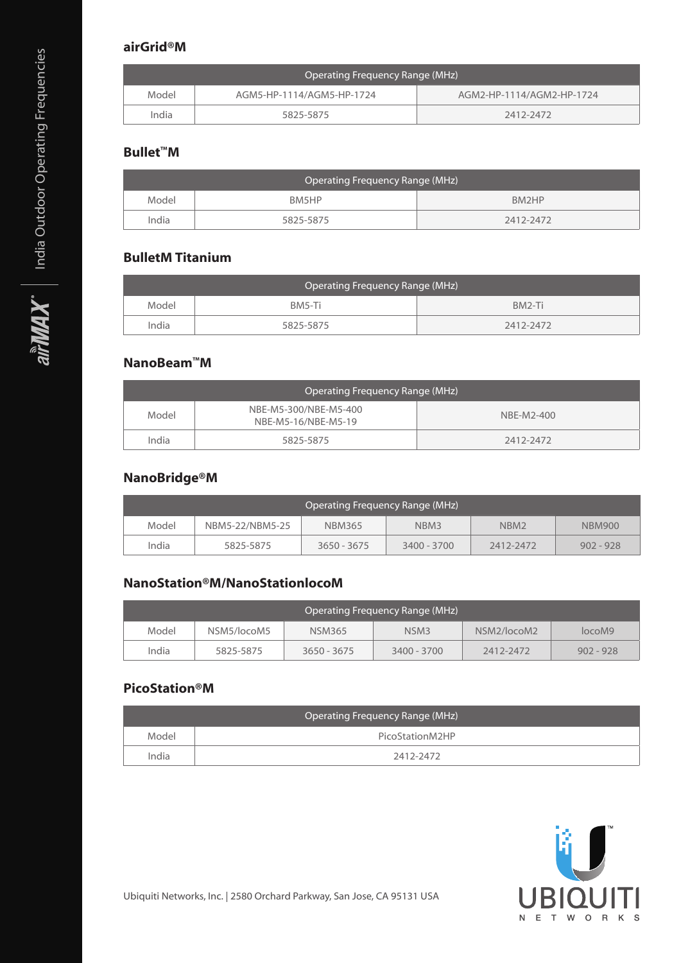### **airGrid®M**

| Operating Frequency Range (MHz) |                           |                           |  |  |
|---------------------------------|---------------------------|---------------------------|--|--|
| Model                           | AGM5-HP-1114/AGM5-HP-1724 | AGM2-HP-1114/AGM2-HP-1724 |  |  |
| India<br>5825-5875              |                           | - 2412-2472               |  |  |

#### **Bullet™M**

|                | <b>Operating Frequency Range (MHz)</b> |  |           |  |  |  |
|----------------|----------------------------------------|--|-----------|--|--|--|
| Model<br>BM5HP |                                        |  | BM2HP     |  |  |  |
|                | India<br>5825-5875                     |  | 2412-2472 |  |  |  |

## **BulletM Titanium**

|                | Operating Frequency Range (MHz) |           |  |  |  |  |
|----------------|---------------------------------|-----------|--|--|--|--|
| Model<br>India | BM5-Ti                          | BM2-Ti    |  |  |  |  |
|                | 5825-5875                       | 2412-2472 |  |  |  |  |

# **NanoBeam™M**

| Operating Frequency Range (MHz) |                                              |            |  |  |  |
|---------------------------------|----------------------------------------------|------------|--|--|--|
| Model                           | NBE-M5-300/NBE-M5-400<br>NBE-M5-16/NBE-M5-19 | NBE-M2-400 |  |  |  |
| India<br>5825-5875              |                                              | 2412-2472  |  |  |  |

# **NanoBridge®M**

| Operating Frequency Range (MHz) |                 |               |             |                  |               |
|---------------------------------|-----------------|---------------|-------------|------------------|---------------|
| Model                           | NBM5-22/NBM5-25 | <b>NBM365</b> | NBM3        | NBM <sub>2</sub> | <b>NBM900</b> |
| India                           | 5825-5875       | $3650 - 3675$ | 3400 - 3700 | 2412-2472        | $902 - 928$   |

## **NanoStation®M/NanoStationlocoM**

| Operating Frequency Range (MHz) |           |               |             |             |             |  |
|---------------------------------|-----------|---------------|-------------|-------------|-------------|--|
| Model<br>NSM5/locoM5            |           | <b>NSM365</b> | NSM3        | NSM2/locoM2 | locoM9      |  |
| India                           | 5825-5875 | $3650 - 3675$ | 3400 - 3700 | 2412-2472   | $902 - 928$ |  |

## **PicoStation®M**

|       | Operating Frequency Range (MHz) |  |  |  |  |
|-------|---------------------------------|--|--|--|--|
| Model | PicoStationM2HP                 |  |  |  |  |
| India | 2412-2472                       |  |  |  |  |